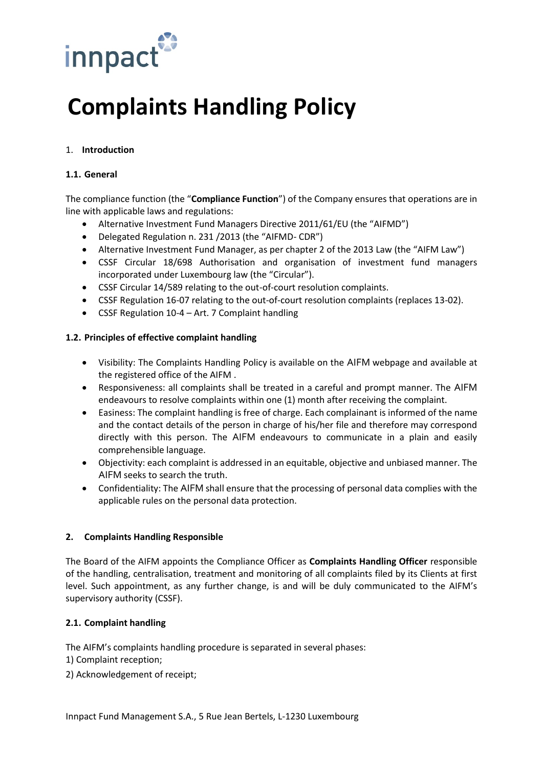

# **Complaints Handling Policy**

# 1. **Introduction**

#### **1.1. General**

The compliance function (the "**Compliance Function**") of the Company ensures that operations are in line with applicable laws and regulations:

- Alternative Investment Fund Managers Directive 2011/61/EU (the "AIFMD")
- Delegated Regulation n. 231 /2013 (the "AIFMD- CDR")
- Alternative Investment Fund Manager, as per chapter 2 of the 2013 Law (the "AIFM Law")
- CSSF Circular 18/698 Authorisation and organisation of investment fund managers incorporated under Luxembourg law (the "Circular").
- CSSF Circular 14/589 relating to the out-of-court resolution complaints.
- CSSF Regulation 16-07 relating to the out-of-court resolution complaints (replaces 13-02).
- CSSF Regulation 10-4 Art. 7 Complaint handling

## **1.2. Principles of effective complaint handling**

- Visibility: The Complaints Handling Policy is available on the AIFM webpage and available at the registered office of the AIFM .
- Responsiveness: all complaints shall be treated in a careful and prompt manner. The AIFM endeavours to resolve complaints within one (1) month after receiving the complaint.
- Easiness: The complaint handling is free of charge. Each complainant is informed of the name and the contact details of the person in charge of his/her file and therefore may correspond directly with this person. The AIFM endeavours to communicate in a plain and easily comprehensible language.
- Objectivity: each complaint is addressed in an equitable, objective and unbiased manner. The AIFM seeks to search the truth.
- Confidentiality: The AIFM shall ensure that the processing of personal data complies with the applicable rules on the personal data protection.

#### **2. Complaints Handling Responsible**

The Board of the AIFM appoints the Compliance Officer as **Complaints Handling Officer** responsible of the handling, centralisation, treatment and monitoring of all complaints filed by its Clients at first level. Such appointment, as any further change, is and will be duly communicated to the AIFM's supervisory authority (CSSF).

# **2.1. Complaint handling**

The AIFM's complaints handling procedure is separated in several phases:

- 1) Complaint reception;
- 2) Acknowledgement of receipt;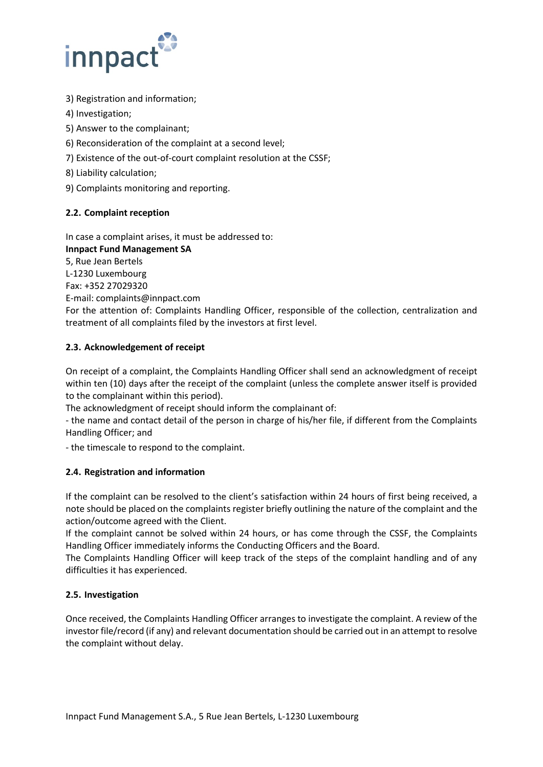

- 3) Registration and information;
- 4) Investigation;
- 5) Answer to the complainant;
- 6) Reconsideration of the complaint at a second level;
- 7) Existence of the out-of-court complaint resolution at the CSSF;
- 8) Liability calculation;
- 9) Complaints monitoring and reporting.

# **2.2. Complaint reception**

In case a complaint arises, it must be addressed to: **Innpact Fund Management SA** 

5, Rue Jean Bertels L-1230 Luxembourg Fax: +352 27029320 E-mail: complaints@innpact.com For the attention of: Complaints Handling Officer, responsible of the collection, centralization and treatment of all complaints filed by the investors at first level.

# **2.3. Acknowledgement of receipt**

On receipt of a complaint, the Complaints Handling Officer shall send an acknowledgment of receipt within ten (10) days after the receipt of the complaint (unless the complete answer itself is provided to the complainant within this period).

The acknowledgment of receipt should inform the complainant of:

- the name and contact detail of the person in charge of his/her file, if different from the Complaints Handling Officer; and

- the timescale to respond to the complaint.

# **2.4. Registration and information**

If the complaint can be resolved to the client's satisfaction within 24 hours of first being received, a note should be placed on the complaints register briefly outlining the nature of the complaint and the action/outcome agreed with the Client.

If the complaint cannot be solved within 24 hours, or has come through the CSSF, the Complaints Handling Officer immediately informs the Conducting Officers and the Board.

The Complaints Handling Officer will keep track of the steps of the complaint handling and of any difficulties it has experienced.

# **2.5. Investigation**

Once received, the Complaints Handling Officer arranges to investigate the complaint. A review of the investor file/record (if any) and relevant documentation should be carried out in an attempt to resolve the complaint without delay.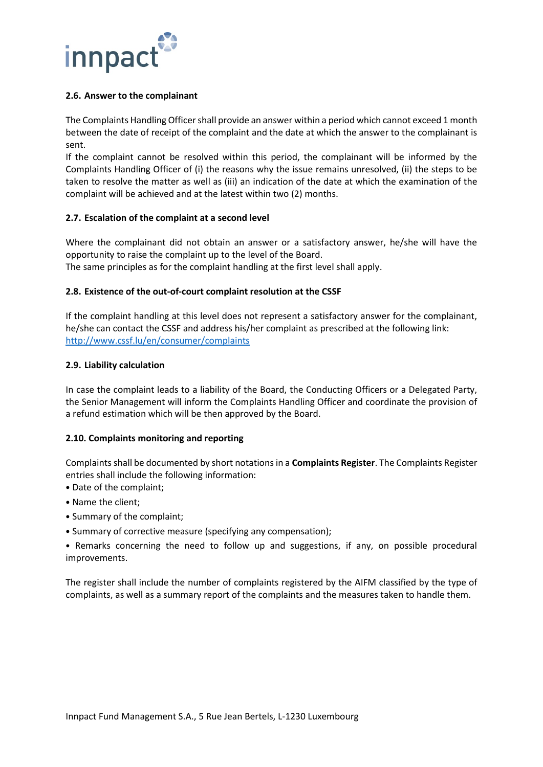

#### **2.6. Answer to the complainant**

The Complaints Handling Officer shall provide an answer within a period which cannot exceed 1 month between the date of receipt of the complaint and the date at which the answer to the complainant is sent.

If the complaint cannot be resolved within this period, the complainant will be informed by the Complaints Handling Officer of (i) the reasons why the issue remains unresolved, (ii) the steps to be taken to resolve the matter as well as (iii) an indication of the date at which the examination of the complaint will be achieved and at the latest within two (2) months.

## **2.7. Escalation of the complaint at a second level**

Where the complainant did not obtain an answer or a satisfactory answer, he/she will have the opportunity to raise the complaint up to the level of the Board.

The same principles as for the complaint handling at the first level shall apply.

## **2.8. Existence of the out-of-court complaint resolution at the CSSF**

If the complaint handling at this level does not represent a satisfactory answer for the complainant, he/she can contact the CSSF and address his/her complaint as prescribed at the following link: <http://www.cssf.lu/en/consumer/complaints>

## **2.9. Liability calculation**

In case the complaint leads to a liability of the Board, the Conducting Officers or a Delegated Party, the Senior Management will inform the Complaints Handling Officer and coordinate the provision of a refund estimation which will be then approved by the Board.

#### **2.10. Complaints monitoring and reporting**

Complaints shall be documented by short notations in a **Complaints Register**. The Complaints Register entries shall include the following information:

- Date of the complaint;
- Name the client;
- Summary of the complaint;
- Summary of corrective measure (specifying any compensation);

• Remarks concerning the need to follow up and suggestions, if any, on possible procedural improvements.

The register shall include the number of complaints registered by the AIFM classified by the type of complaints, as well as a summary report of the complaints and the measures taken to handle them.